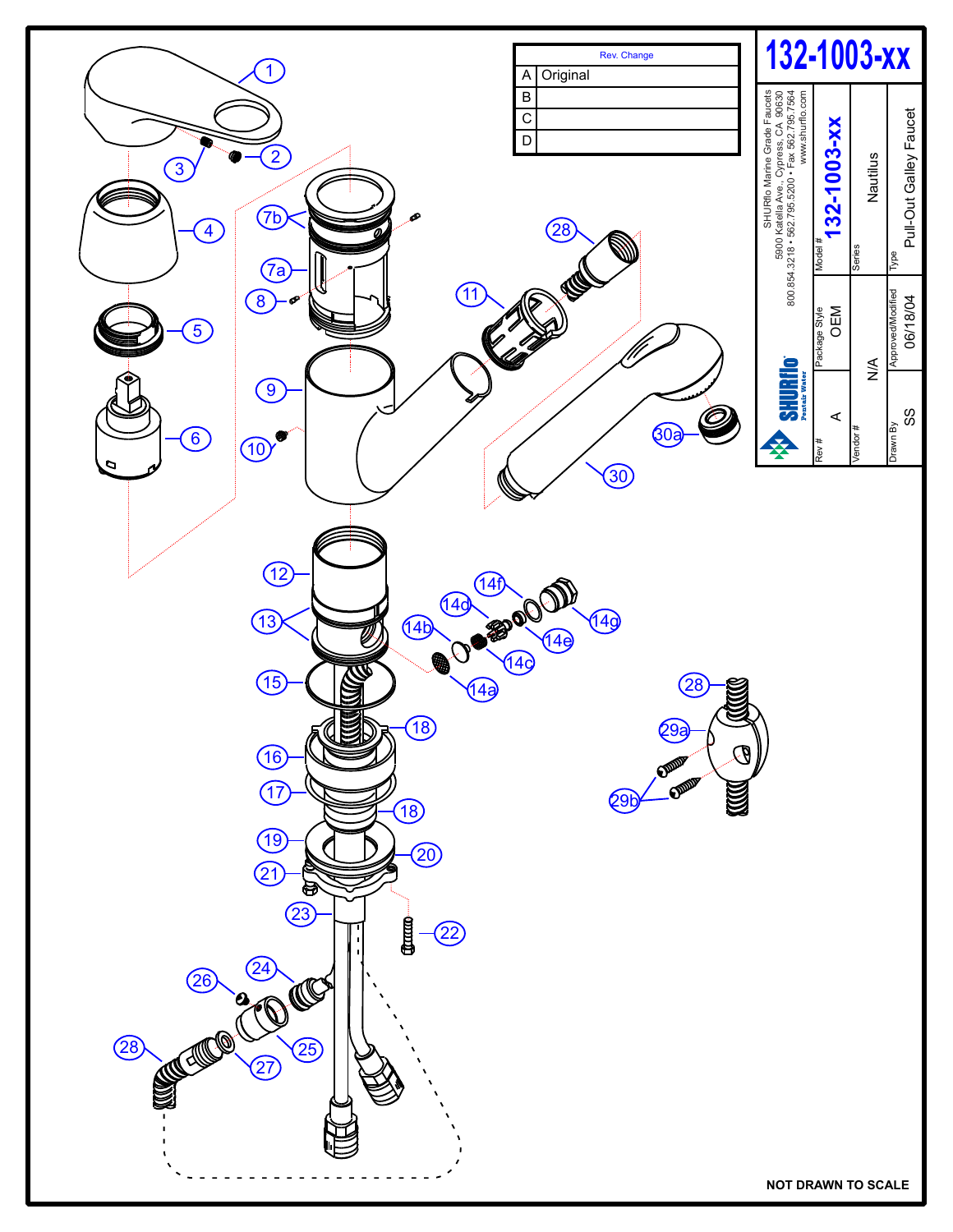